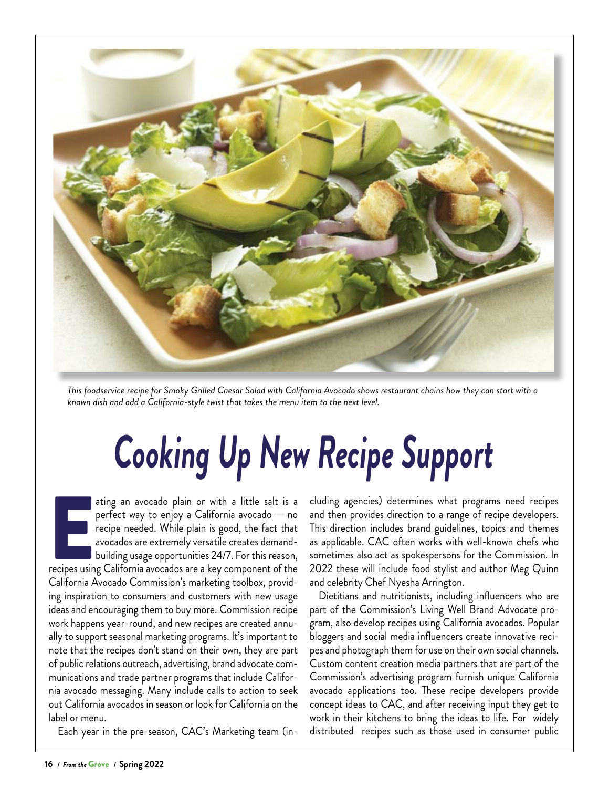

*This foodservice recipe for Smoky Grilled Caesar Salad with California Avocado shows restaurant chains how they can start with a known dish and add a California-style twist that takes the menu item to the next level.*

## *Cooking Up New Recipe Support*

EXERCT THE THE STATE OF THE THE STATE OF THE CHIPSTON THE PRICE OF THE AVOCADOS are extremely versatile creates demand-<br>building usage opportunities 24/7. For this reason, recipes using California avocados are a key compon ating an avocado plain or with a little salt is a perfect way to enjoy a California avocado — no recipe needed. While plain is good, the fact that avocados are extremely versatile creates demandbuilding usage opportunities 24/7. For this reason, California Avocado Commission's marketing toolbox, providing inspiration to consumers and customers with new usage ideas and encouraging them to buy more. Commission recipe work happens year-round, and new recipes are created annually to support seasonal marketing programs. It's important to note that the recipes don't stand on their own, they are part of public relations outreach, advertising, brand advocate communications and trade partner programs that include California avocado messaging. Many include calls to action to seek out California avocados in season or look for California on the label or menu.

Each year in the pre-season, CAC's Marketing team (in-

cluding agencies) determines what programs need recipes and then provides direction to a range of recipe developers. This direction includes brand guidelines, topics and themes as applicable. CAC often works with well-known chefs who sometimes also act as spokespersons for the Commission. In 2022 these will include food stylist and author Meg Quinn and celebrity Chef Nyesha Arrington.

Dietitians and nutritionists, including influencers who are part of the Commission's Living Well Brand Advocate program, also develop recipes using California avocados. Popular bloggers and social media influencers create innovative recipes and photograph them for use on their own social channels. Custom content creation media partners that are part of the Commission's advertising program furnish unique California avocado applications too. These recipe developers provide concept ideas to CAC, and after receiving input they get to work in their kitchens to bring the ideas to life. For widely distributed recipes such as those used in consumer public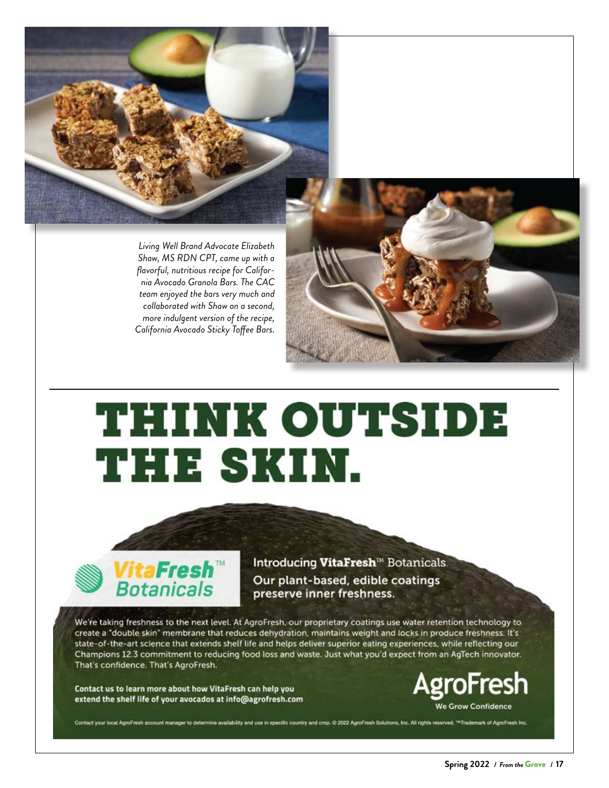

*Living Well Brand Advocate Elizabeth Shaw, MS RDN CPT, came up with a flavorful, nutritious recipe for California Avocado Granola Bars. The CAC team enjoyed the bars very much and collaborated with Shaw on a second, more indulgent version of the recipe, California Avocado Sticky Toffee Bars.*



## **THINK OUTSIDE THE SKIN.**



Introducing VitaFresh<sup>™</sup> Botanicals. Our plant-based, edible coatings preserve inner freshness.

lability and use in specific country and crop. © 2022 AgroFresh Solutions, Inc. All rights reserved. <sup>194</sup>Trademark of AgroFresh Inc.

We're taking freshness to the next level. At AgroFresh, our proprietary coatings use water retention technology to create a "double skin" membrane that reduces dehydration, maintains weight and locks in produce freshness. It's state-of-the-art science that extends shelf life and helps deliver superior eating experiences, while reflecting our Champions 12.3 commitment to reducing food loss and waste. Just what you'd expect from an AgTech innovator. That's confidence. That's AgroFresh.

Contact us to learn more about how VitaFresh can help you extend the shelf life of your avocados at info@agrofresh.com



**Spring 2022 /** *From the* Grove **/ 17**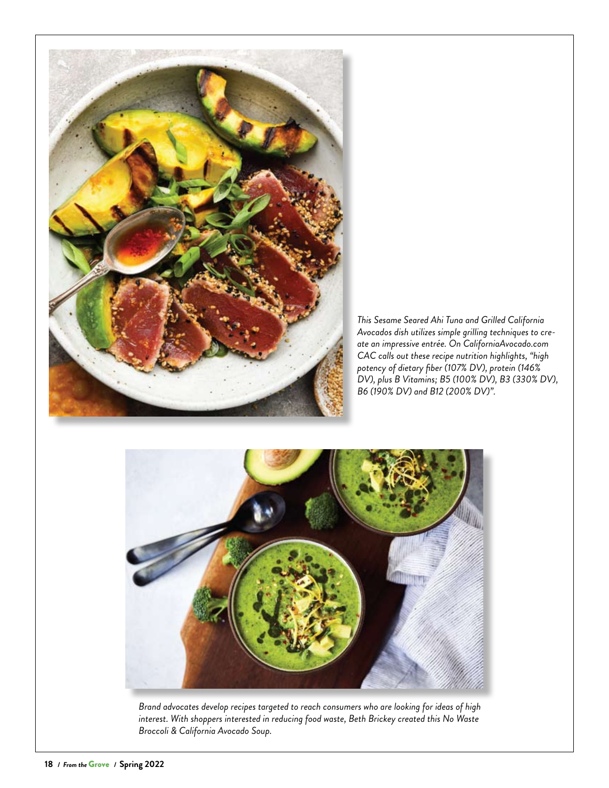

*This Sesame Seared Ahi Tuna and Grilled California Avocados dish utilizes simple grilling techniques to create an impressive entrée. On CaliforniaAvocado.com CAC calls out these recipe nutrition highlights, "high potency of dietary fiber (107% DV), protein (146% DV), plus B Vitamins; B5 (100% DV), B3 (330% DV), B6 (190% DV) and B12 (200% DV)".*



*Brand advocates develop recipes targeted to reach consumers who are looking for ideas of high interest. With shoppers interested in reducing food waste, Beth Brickey created this No Waste Broccoli & California Avocado Soup.*